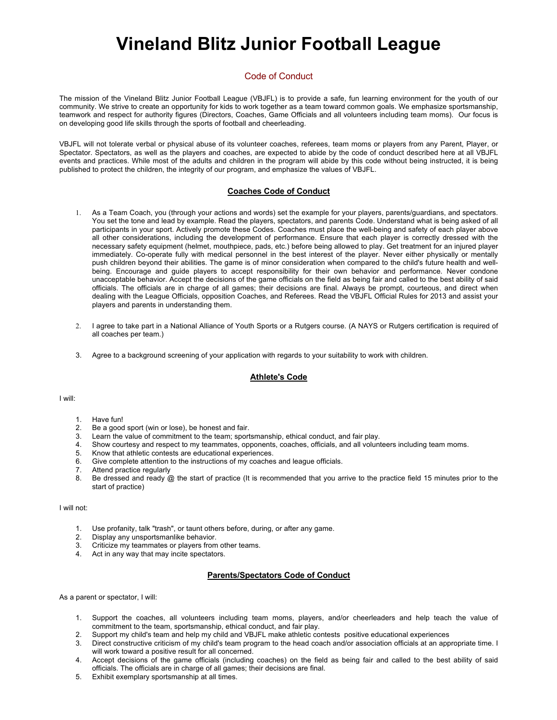# **Vineland Blitz Junior Football League**

# Code of Conduct

The mission of the Vineland Blitz Junior Football League (VBJFL) is to provide a safe, fun learning environment for the youth of our community. We strive to create an opportunity for kids to work together as a team toward common goals. We emphasize sportsmanship, teamwork and respect for authority figures (Directors, Coaches, Game Officials and all volunteers including team moms). Our focus is on developing good life skills through the sports of football and cheerleading.

VBJFL will not tolerate verbal or physical abuse of its volunteer coaches, referees, team moms or players from any Parent, Player, or Spectator. Spectators, as well as the players and coaches, are expected to abide by the code of conduct described here at all VBJFL events and practices. While most of the adults and children in the program will abide by this code without being instructed, it is being published to protect the children, the integrity of our program, and emphasize the values of VBJFL.

## **Coaches Code of Conduct**

- 1. As a Team Coach, you (through your actions and words) set the example for your players, parents/guardians, and spectators. You set the tone and lead by example. Read the players, spectators, and parents Code. Understand what is being asked of all participants in your sport. Actively promote these Codes. Coaches must place the well-being and safety of each player above all other considerations, including the development of performance. Ensure that each player is correctly dressed with the necessary safety equipment (helmet, mouthpiece, pads, etc.) before being allowed to play. Get treatment for an injured player immediately. Co-operate fully with medical personnel in the best interest of the player. Never either physically or mentally push children beyond their abilities. The game is of minor consideration when compared to the child's future health and wellbeing. Encourage and guide players to accept responsibility for their own behavior and performance. Never condone unacceptable behavior. Accept the decisions of the game officials on the field as being fair and called to the best ability of said officials. The officials are in charge of all games; their decisions are final. Always be prompt, courteous, and direct when dealing with the League Officials, opposition Coaches, and Referees. Read the VBJFL Official Rules for 2013 and assist your players and parents in understanding them.
- 2. I agree to take part in a National Alliance of Youth Sports or a Rutgers course. (A NAYS or Rutgers certification is required of all coaches per team.)
- 3. Agree to a background screening of your application with regards to your suitability to work with children.

## **Athlete's Code**

#### I will:

- 1. Have fun!
- 2. Be a good sport (win or lose), be honest and fair.
- 3. Learn the value of commitment to the team; sportsmanship, ethical conduct, and fair play.
- 4. Show courtesy and respect to my teammates, opponents, coaches, officials, and all volunteers including team moms.
- 5. Know that athletic contests are educational experiences.
- 6. Give complete attention to the instructions of my coaches and league officials.
- 7. Attend practice regularly
- 8. Be dressed and ready @ the start of practice (It is recommended that you arrive to the practice field 15 minutes prior to the start of practice)

#### I will not:

- 1. Use profanity, talk "trash", or taunt others before, during, or after any game.
- 2. Display any unsportsmanlike behavior.
- 3. Criticize my teammates or players from other teams.
- 4. Act in any way that may incite spectators.

## **Parents/Spectators Code of Conduct**

As a parent or spectator, I will:

- 1. Support the coaches, all volunteers including team moms, players, and/or cheerleaders and help teach the value of commitment to the team, sportsmanship, ethical conduct, and fair play.
- 2. Support my child's team and help my child and VBJFL make athletic contests positive educational experiences
- Direct constructive criticism of my child's team program to the head coach and/or association officials at an appropriate time. I will work toward a positive result for all concerned.
- 4. Accept decisions of the game officials (including coaches) on the field as being fair and called to the best ability of said officials. The officials are in charge of all games; their decisions are final.
- 5. Exhibit exemplary sportsmanship at all times.